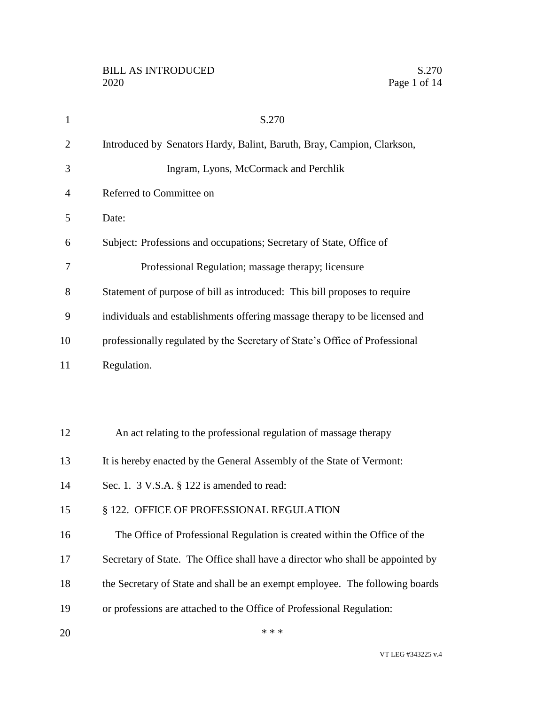| $\mathbf{1}$   | S.270                                                                          |
|----------------|--------------------------------------------------------------------------------|
| $\overline{2}$ | Introduced by Senators Hardy, Balint, Baruth, Bray, Campion, Clarkson,         |
| 3              | Ingram, Lyons, McCormack and Perchlik                                          |
| 4              | Referred to Committee on                                                       |
| 5              | Date:                                                                          |
| 6              | Subject: Professions and occupations; Secretary of State, Office of            |
| 7              | Professional Regulation; massage therapy; licensure                            |
| 8              | Statement of purpose of bill as introduced: This bill proposes to require      |
| 9              | individuals and establishments offering massage therapy to be licensed and     |
| 10             | professionally regulated by the Secretary of State's Office of Professional    |
| 11             | Regulation.                                                                    |
|                |                                                                                |
|                |                                                                                |
| 12             | An act relating to the professional regulation of massage therapy              |
| 13             | It is hereby enacted by the General Assembly of the State of Vermont:          |
| 14             | Sec. 1. 3 V.S.A. § 122 is amended to read:                                     |
| 15             | § 122. OFFICE OF PROFESSIONAL REGULATION                                       |
| 16             | The Office of Professional Regulation is created within the Office of the      |
| 17             | Secretary of State. The Office shall have a director who shall be appointed by |
| 18             | the Secretary of State and shall be an exempt employee. The following boards   |
| 19             | or professions are attached to the Office of Professional Regulation:          |
| 20             | * * *                                                                          |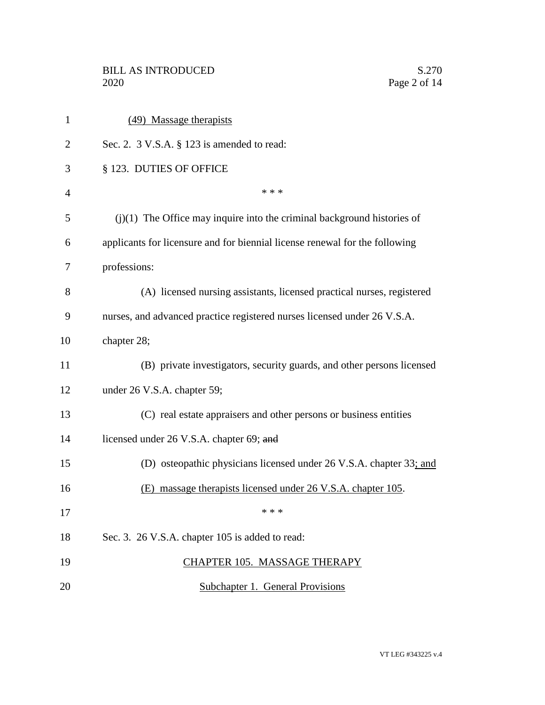| $\mathbf{1}$   | (49) Massage therapists                                                     |
|----------------|-----------------------------------------------------------------------------|
| 2              | Sec. 2. 3 V.S.A. § 123 is amended to read:                                  |
| 3              | § 123. DUTIES OF OFFICE                                                     |
| $\overline{4}$ | * * *                                                                       |
| 5              | $(j)(1)$ The Office may inquire into the criminal background histories of   |
| 6              | applicants for licensure and for biennial license renewal for the following |
| 7              | professions:                                                                |
| 8              | (A) licensed nursing assistants, licensed practical nurses, registered      |
| 9              | nurses, and advanced practice registered nurses licensed under 26 V.S.A.    |
| 10             | chapter 28;                                                                 |
| 11             | (B) private investigators, security guards, and other persons licensed      |
| 12             | under 26 V.S.A. chapter 59;                                                 |
| 13             | (C) real estate appraisers and other persons or business entities           |
| 14             | licensed under 26 V.S.A. chapter 69; and                                    |
| 15             | (D) osteopathic physicians licensed under 26 V.S.A. chapter 33; and         |
| 16             | (E) massage therapists licensed under 26 V.S.A. chapter 105.                |
| 17             | * * *                                                                       |
| 18             | Sec. 3. 26 V.S.A. chapter 105 is added to read:                             |
| 19             | CHAPTER 105. MASSAGE THERAPY                                                |
| 20             | <b>Subchapter 1. General Provisions</b>                                     |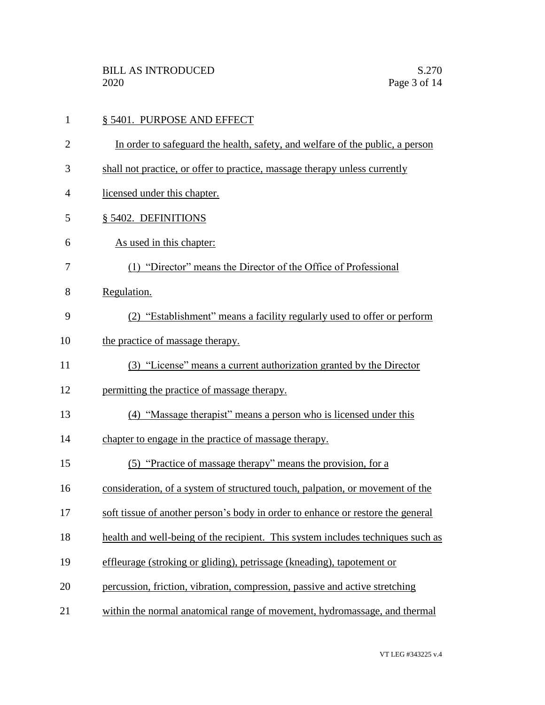|  | § 5401. PURPOSE AND EFFECT |
|--|----------------------------|
|--|----------------------------|

- In order to safeguard the health, safety, and welfare of the public, a person
- shall not practice, or offer to practice, massage therapy unless currently
- licensed under this chapter.
- § 5402. DEFINITIONS
- As used in this chapter:
- (1) "Director" means the Director of the Office of Professional
- Regulation.
- (2) "Establishment" means a facility regularly used to offer or perform
- 10 the practice of massage therapy.
- (3) "License" means a current authorization granted by the Director
- permitting the practice of massage therapy.
- (4) "Massage therapist" means a person who is licensed under this
- chapter to engage in the practice of massage therapy.
- (5) "Practice of massage therapy" means the provision, for a
- consideration, of a system of structured touch, palpation, or movement of the
- soft tissue of another person's body in order to enhance or restore the general
- health and well-being of the recipient. This system includes techniques such as
- effleurage (stroking or gliding), petrissage (kneading), tapotement or
- percussion, friction, vibration, compression, passive and active stretching
- within the normal anatomical range of movement, hydromassage, and thermal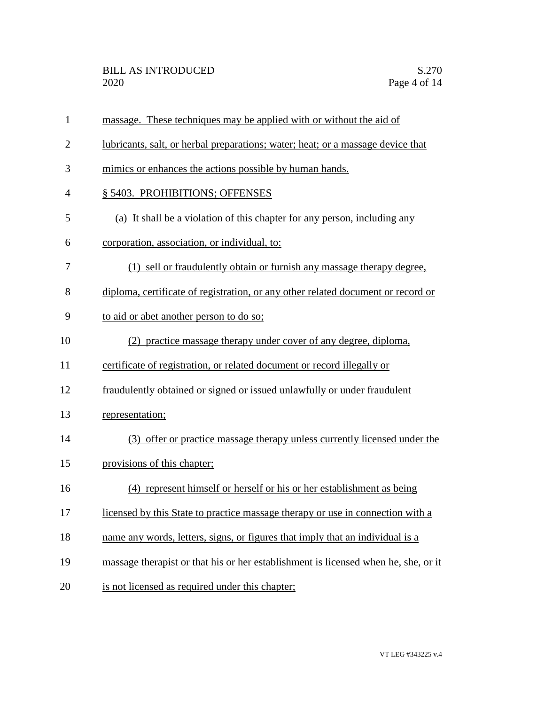| $\mathbf{1}$   | massage. These techniques may be applied with or without the aid of                |
|----------------|------------------------------------------------------------------------------------|
| $\overline{2}$ | lubricants, salt, or herbal preparations; water; heat; or a massage device that    |
| 3              | mimics or enhances the actions possible by human hands.                            |
| 4              | § 5403. PROHIBITIONS; OFFENSES                                                     |
| 5              | (a) It shall be a violation of this chapter for any person, including any          |
| 6              | corporation, association, or individual, to:                                       |
| 7              | (1) sell or fraudulently obtain or furnish any massage therapy degree.             |
| 8              | diploma, certificate of registration, or any other related document or record or   |
| 9              | to aid or abet another person to do so;                                            |
| 10             | (2) practice massage therapy under cover of any degree, diploma,                   |
| 11             | certificate of registration, or related document or record illegally or            |
| 12             | fraudulently obtained or signed or issued unlawfully or under fraudulent           |
| 13             | representation;                                                                    |
| 14             | (3) offer or practice massage therapy unless currently licensed under the          |
| 15             | provisions of this chapter;                                                        |
| 16             | (4) represent himself or herself or his or her establishment as being              |
| 17             | licensed by this State to practice massage therapy or use in connection with a     |
| 18             | name any words, letters, signs, or figures that imply that an individual is a      |
| 19             | massage therapist or that his or her establishment is licensed when he, she, or it |
| 20             | is not licensed as required under this chapter;                                    |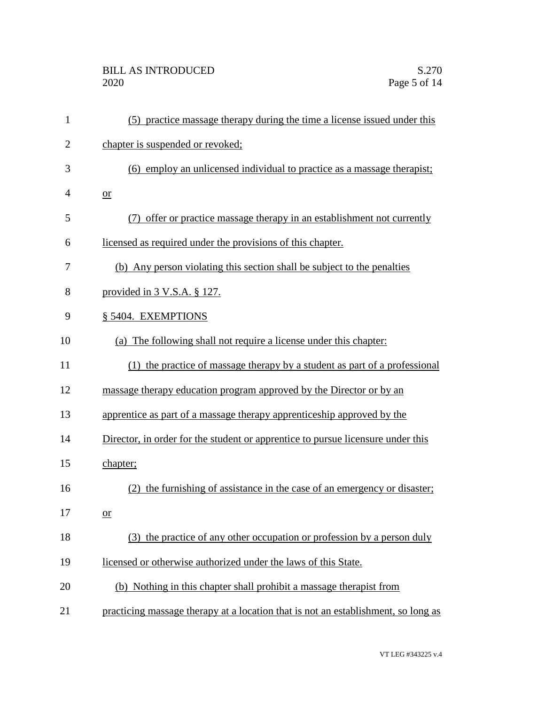| $\mathbf{1}$   | (5) practice massage therapy during the time a license issued under this          |
|----------------|-----------------------------------------------------------------------------------|
| $\overline{2}$ | chapter is suspended or revoked;                                                  |
| 3              | (6) employ an unlicensed individual to practice as a massage therapist;           |
| 4              | $or$                                                                              |
| 5              | offer or practice massage therapy in an establishment not currently               |
| 6              | licensed as required under the provisions of this chapter.                        |
| 7              | (b) Any person violating this section shall be subject to the penalties           |
| 8              | provided in 3 V.S.A. § 127.                                                       |
| 9              | § 5404. EXEMPTIONS                                                                |
| 10             | (a) The following shall not require a license under this chapter:                 |
| 11             | (1) the practice of massage therapy by a student as part of a professional        |
| 12             | massage therapy education program approved by the Director or by an               |
| 13             | apprentice as part of a massage therapy apprenticeship approved by the            |
| 14             | Director, in order for the student or apprentice to pursue licensure under this   |
| 15             | chapter;                                                                          |
| 16             | (2) the furnishing of assistance in the case of an emergency or disaster;         |
| 17             | $or$                                                                              |
| 18             | (3) the practice of any other occupation or profession by a person duly           |
| 19             | licensed or otherwise authorized under the laws of this State.                    |
| 20             | (b) Nothing in this chapter shall prohibit a massage therapist from               |
| 21             | practicing massage therapy at a location that is not an establishment, so long as |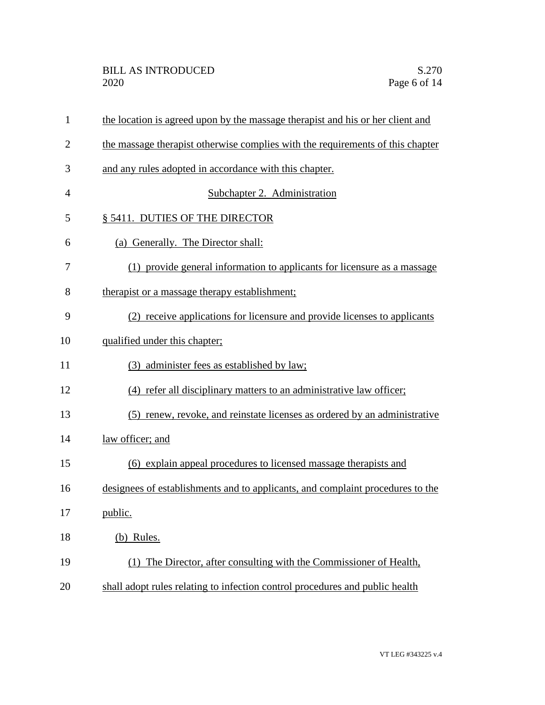| $\mathbf{1}$   | the location is agreed upon by the massage therapist and his or her client and |
|----------------|--------------------------------------------------------------------------------|
| $\overline{2}$ | the massage therapist otherwise complies with the requirements of this chapter |
| 3              | and any rules adopted in accordance with this chapter.                         |
| $\overline{4}$ | Subchapter 2. Administration                                                   |
| 5              | § 5411. DUTIES OF THE DIRECTOR                                                 |
| 6              | (a) Generally. The Director shall:                                             |
| 7              | (1) provide general information to applicants for licensure as a massage       |
| 8              | therapist or a massage therapy establishment;                                  |
| 9              | (2) receive applications for licensure and provide licenses to applicants      |
| 10             | qualified under this chapter;                                                  |
| 11             | (3) administer fees as established by law;                                     |
| 12             | (4) refer all disciplinary matters to an administrative law officer;           |
| 13             | (5) renew, revoke, and reinstate licenses as ordered by an administrative      |
| 14             | law officer; and                                                               |
| 15             | (6) explain appeal procedures to licensed massage therapists and               |
| 16             | designees of establishments and to applicants, and complaint procedures to the |
| 17             | public.                                                                        |
| 18             | (b) Rules.                                                                     |
| 19             | (1) The Director, after consulting with the Commissioner of Health,            |
| 20             | shall adopt rules relating to infection control procedures and public health   |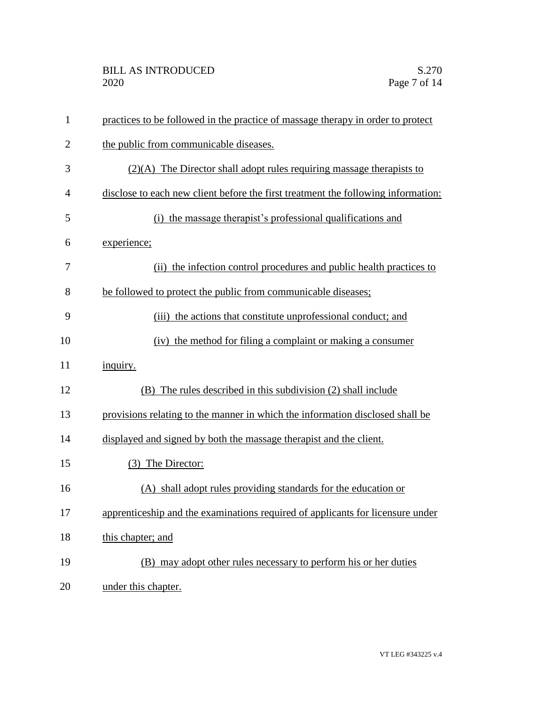| $\mathbf{1}$   | practices to be followed in the practice of massage therapy in order to protect   |
|----------------|-----------------------------------------------------------------------------------|
| $\overline{2}$ | the public from communicable diseases.                                            |
| 3              | $(2)(A)$ The Director shall adopt rules requiring massage therapists to           |
| 4              | disclose to each new client before the first treatment the following information: |
| 5              | (i) the massage therapist's professional qualifications and                       |
| 6              | experience;                                                                       |
| 7              | (ii) the infection control procedures and public health practices to              |
| 8              | be followed to protect the public from communicable diseases;                     |
| 9              | (iii) the actions that constitute unprofessional conduct; and                     |
| 10             | (iv) the method for filing a complaint or making a consumer                       |
| 11             | inquiry.                                                                          |
| 12             | (B) The rules described in this subdivision (2) shall include                     |
| 13             | provisions relating to the manner in which the information disclosed shall be     |
| 14             | displayed and signed by both the massage therapist and the client.                |
| 15             | (3) The Director:                                                                 |
| 16             | (A) shall adopt rules providing standards for the education or                    |
| 17             | apprenticeship and the examinations required of applicants for licensure under    |
| 18             | this chapter; and                                                                 |
| 19             | (B) may adopt other rules necessary to perform his or her duties                  |
| 20             | under this chapter.                                                               |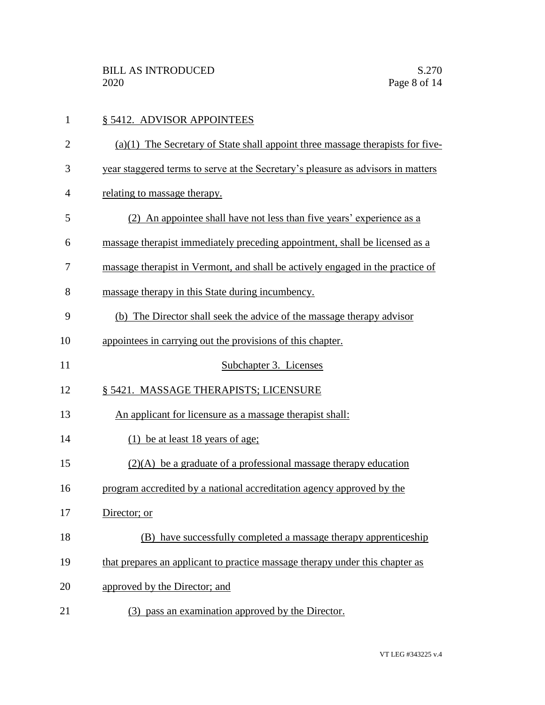| $\mathbf{1}$   | § 5412. ADVISOR APPOINTEES                                                       |
|----------------|----------------------------------------------------------------------------------|
| $\overline{2}$ | $(a)(1)$ The Secretary of State shall appoint three massage therapists for five- |
| 3              | year staggered terms to serve at the Secretary's pleasure as advisors in matters |
| 4              | relating to massage therapy.                                                     |
| 5              | (2) An appointee shall have not less than five years' experience as a            |
| 6              | massage therapist immediately preceding appointment, shall be licensed as a      |
| 7              | massage therapist in Vermont, and shall be actively engaged in the practice of   |
| 8              | massage therapy in this State during incumbency.                                 |
| 9              | (b) The Director shall seek the advice of the massage therapy advisor            |
| 10             | appointees in carrying out the provisions of this chapter.                       |
| 11             | Subchapter 3. Licenses                                                           |
| 12             | § 5421. MASSAGE THERAPISTS; LICENSURE                                            |
| 13             | An applicant for licensure as a massage therapist shall:                         |
| 14             | (1) be at least 18 years of age;                                                 |
| 15             | $(2)(A)$ be a graduate of a professional massage therapy education               |
| 16             | program accredited by a national accreditation agency approved by the            |
| 17             | Director; or                                                                     |
| 18             | have successfully completed a massage therapy apprenticeship<br>(B)              |
| 19             | that prepares an applicant to practice massage therapy under this chapter as     |
| 20             | approved by the Director; and                                                    |
| 21             | (3) pass an examination approved by the Director.                                |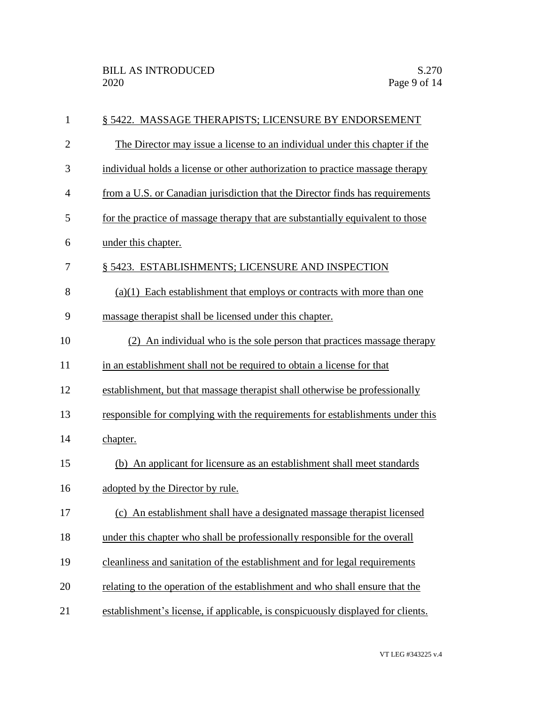| $\mathbf{1}$   | § 5422. MASSAGE THERAPISTS; LICENSURE BY ENDORSEMENT                            |
|----------------|---------------------------------------------------------------------------------|
| $\overline{2}$ | The Director may issue a license to an individual under this chapter if the     |
| 3              | individual holds a license or other authorization to practice massage therapy   |
| $\overline{4}$ | from a U.S. or Canadian jurisdiction that the Director finds has requirements   |
| 5              | for the practice of massage therapy that are substantially equivalent to those  |
| 6              | under this chapter.                                                             |
| 7              | § 5423. ESTABLISHMENTS; LICENSURE AND INSPECTION                                |
| 8              | $(a)(1)$ Each establishment that employs or contracts with more than one        |
| 9              | massage therapist shall be licensed under this chapter.                         |
| 10             | (2) An individual who is the sole person that practices massage therapy         |
| 11             | in an establishment shall not be required to obtain a license for that          |
| 12             | establishment, but that massage therapist shall otherwise be professionally     |
| 13             | responsible for complying with the requirements for establishments under this   |
| 14             | chapter.                                                                        |
| 15             | (b) An applicant for licensure as an establishment shall meet standards         |
| 16             | adopted by the Director by rule.                                                |
| 17             | (c) An establishment shall have a designated massage therapist licensed         |
| 18             | under this chapter who shall be professionally responsible for the overall      |
| 19             | cleanliness and sanitation of the establishment and for legal requirements      |
| 20             | relating to the operation of the establishment and who shall ensure that the    |
| 21             | establishment's license, if applicable, is conspicuously displayed for clients. |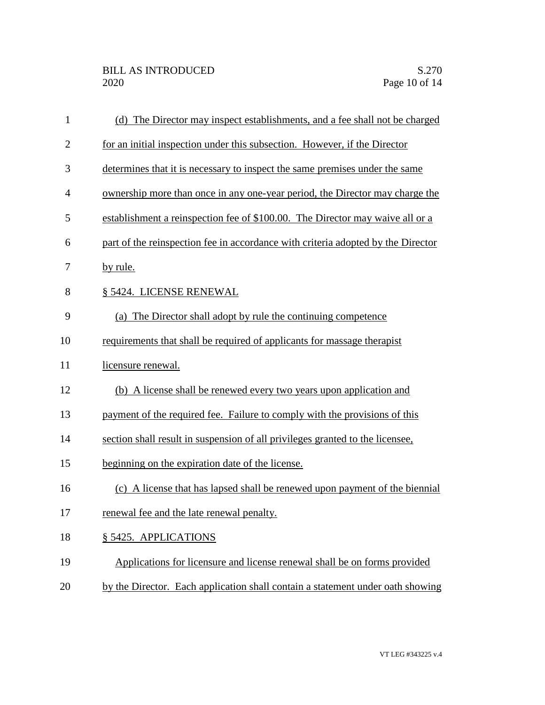| $\mathbf{1}$   | (d) The Director may inspect establishments, and a fee shall not be charged      |
|----------------|----------------------------------------------------------------------------------|
| $\overline{2}$ | for an initial inspection under this subsection. However, if the Director        |
| 3              | determines that it is necessary to inspect the same premises under the same      |
| 4              | ownership more than once in any one-year period, the Director may charge the     |
| 5              | establishment a reinspection fee of \$100.00. The Director may waive all or a    |
| 6              | part of the reinspection fee in accordance with criteria adopted by the Director |
| 7              | by rule.                                                                         |
| 8              | § 5424. LICENSE RENEWAL                                                          |
| 9              | (a) The Director shall adopt by rule the continuing competence                   |
| 10             | requirements that shall be required of applicants for massage therapist          |
| 11             | licensure renewal.                                                               |
| 12             | (b) A license shall be renewed every two years upon application and              |
| 13             | payment of the required fee. Failure to comply with the provisions of this       |
| 14             | section shall result in suspension of all privileges granted to the licensee,    |
| 15             | beginning on the expiration date of the license.                                 |
| 16             | (c) A license that has lapsed shall be renewed upon payment of the biennial      |
| 17             | renewal fee and the late renewal penalty.                                        |
| 18             | § 5425. APPLICATIONS                                                             |
| 19             | Applications for licensure and license renewal shall be on forms provided        |
| 20             | by the Director. Each application shall contain a statement under oath showing   |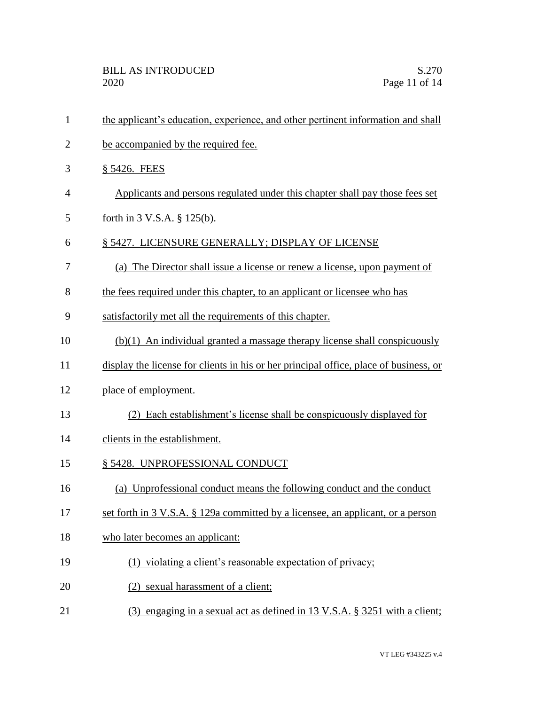| $\mathbf{1}$   | the applicant's education, experience, and other pertinent information and shall       |
|----------------|----------------------------------------------------------------------------------------|
| $\overline{2}$ | be accompanied by the required fee.                                                    |
| 3              | § 5426. FEES                                                                           |
| 4              | Applicants and persons regulated under this chapter shall pay those fees set           |
| 5              | forth in $3$ V.S.A. $\S$ 125(b).                                                       |
| 6              | § 5427. LICENSURE GENERALLY; DISPLAY OF LICENSE                                        |
| 7              | (a) The Director shall issue a license or renew a license, upon payment of             |
| 8              | the fees required under this chapter, to an applicant or licensee who has              |
| 9              | satisfactorily met all the requirements of this chapter.                               |
| 10             | $(b)(1)$ An individual granted a massage therapy license shall conspicuously           |
| 11             | display the license for clients in his or her principal office, place of business, or  |
| 12             | place of employment.                                                                   |
| 13             | (2) Each establishment's license shall be conspicuously displayed for                  |
| 14             | clients in the establishment.                                                          |
| 15             | § 5428. UNPROFESSIONAL CONDUCT                                                         |
| 16             | (a) Unprofessional conduct means the following conduct and the conduct                 |
| 17             | set forth in 3 V.S.A. § 129a committed by a licensee, an applicant, or a person        |
| 18             | who later becomes an applicant:                                                        |
| 19             | (1) violating a client's reasonable expectation of privacy;                            |
| 20             | (2) sexual harassment of a client;                                                     |
| 21             | (3) engaging in a sexual act as defined in $13 \text{ V.S.A. }$ \$ 3251 with a client; |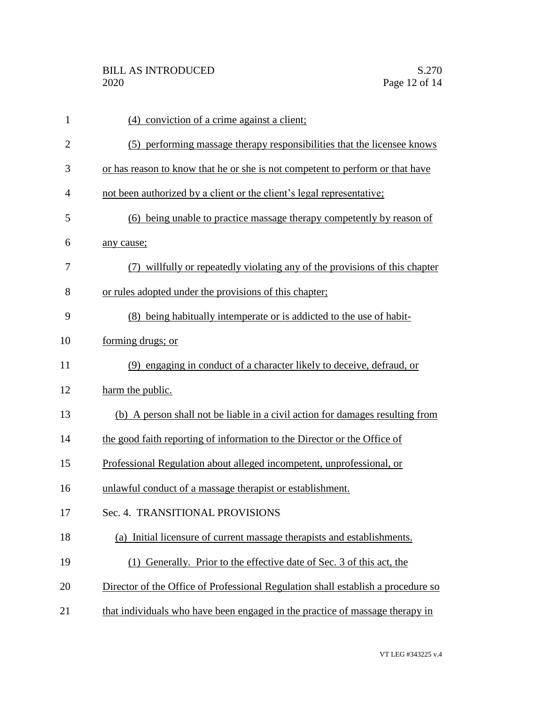| $\mathbf{1}$   | (4) conviction of a crime against a client;                                      |
|----------------|----------------------------------------------------------------------------------|
| $\overline{2}$ | (5) performing massage therapy responsibilities that the licensee knows          |
| 3              | or has reason to know that he or she is not competent to perform or that have    |
| 4              | not been authorized by a client or the client's legal representative;            |
| 5              | (6) being unable to practice massage therapy competently by reason of            |
| 6              | any cause;                                                                       |
| 7              | (7) willfully or repeatedly violating any of the provisions of this chapter      |
| 8              | or rules adopted under the provisions of this chapter;                           |
| 9              | (8) being habitually intemperate or is addicted to the use of habit-             |
| 10             | forming drugs; or                                                                |
| 11             | (9) engaging in conduct of a character likely to deceive, defraud, or            |
| 12             | harm the public.                                                                 |
| 13             | (b) A person shall not be liable in a civil action for damages resulting from    |
| 14             | the good faith reporting of information to the Director or the Office of         |
| 15             | Professional Regulation about alleged incompetent, unprofessional, or            |
| 16             | unlawful conduct of a massage therapist or establishment.                        |
| 17             | Sec. 4. TRANSITIONAL PROVISIONS                                                  |
| 18             | (a) Initial licensure of current massage therapists and establishments.          |
| 19             | (1) Generally. Prior to the effective date of Sec. 3 of this act, the            |
| 20             | Director of the Office of Professional Regulation shall establish a procedure so |
| 21             | that individuals who have been engaged in the practice of massage therapy in     |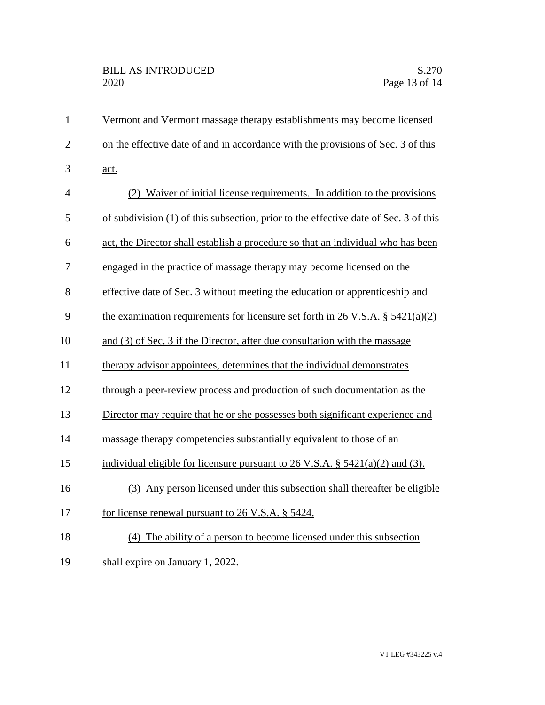| $\mathbf{1}$   | Vermont and Vermont massage therapy establishments may become licensed                      |
|----------------|---------------------------------------------------------------------------------------------|
| $\overline{2}$ | on the effective date of and in accordance with the provisions of Sec. 3 of this            |
| 3              | <u>act.</u>                                                                                 |
| 4              | (2) Waiver of initial license requirements. In addition to the provisions                   |
| 5              | of subdivision (1) of this subsection, prior to the effective date of Sec. 3 of this        |
| 6              | act, the Director shall establish a procedure so that an individual who has been            |
| 7              | engaged in the practice of massage therapy may become licensed on the                       |
| 8              | effective date of Sec. 3 without meeting the education or apprenticeship and                |
| 9              | the examination requirements for licensure set forth in 26 V.S.A. § $5421(a)(2)$            |
| 10             | and (3) of Sec. 3 if the Director, after due consultation with the massage                  |
| 11             | therapy advisor appointees, determines that the individual demonstrates                     |
| 12             | through a peer-review process and production of such documentation as the                   |
| 13             | Director may require that he or she possesses both significant experience and               |
| 14             | massage therapy competencies substantially equivalent to those of an                        |
| 15             | individual eligible for licensure pursuant to $26 \text{ V.S.A. }$ \$ $5421(a)(2)$ and (3). |
| 16             | (3) Any person licensed under this subsection shall thereafter be eligible                  |
| 17             | for license renewal pursuant to 26 V.S.A. § 5424.                                           |
| 18             | (4) The ability of a person to become licensed under this subsection                        |
| 19             | shall expire on January 1, 2022.                                                            |